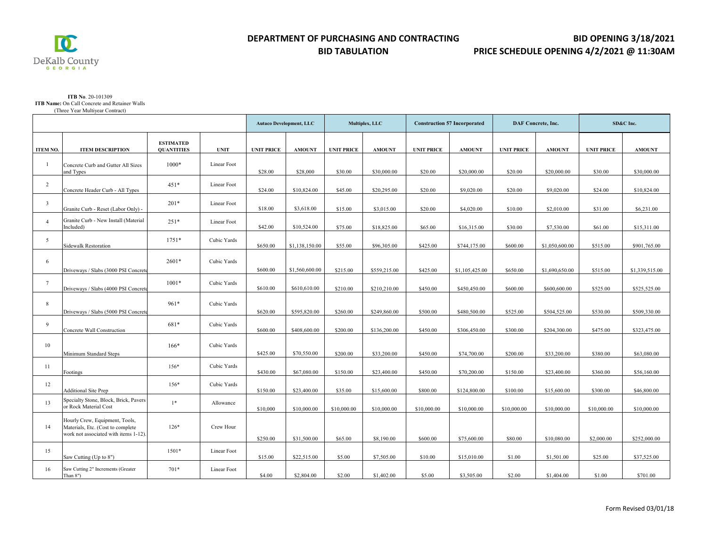$\overline{\mathbf{C}}$  $\underset{\mathbf{G}}{\mathop{\text{DeKalb}}}\underset{\mathbf{E}}{\mathop{\text{County}}}\underset{\mathbf{B}}{\mathop{\text{County}}}\nonumber\\$ 

#### **BID TABULATION**

## **BID OPENING 3/18/2021 PRICE SCHEDULE OPENING 4/2/2021 @ 11:30AM**

#### **ITB No**. 20-101309 **ITB Name:** On Call Concrete and Retainer Walls (Three Year Multiyear Contract)

|                 |                                                                                                              |                                       |             | <b>Autaco Development, LLC</b> |                | Multiplex, LLC    |               | <b>Construction 57 Incorporated</b> |                | DAF Concrete, Inc. |                | SD&C Inc.         |                |
|-----------------|--------------------------------------------------------------------------------------------------------------|---------------------------------------|-------------|--------------------------------|----------------|-------------------|---------------|-------------------------------------|----------------|--------------------|----------------|-------------------|----------------|
| <b>ITEM NO.</b> | <b>ITEM DESCRIPTION</b>                                                                                      | <b>ESTIMATED</b><br><b>QUANTITIES</b> | <b>UNIT</b> | <b>UNIT PRICE</b>              | <b>AMOUNT</b>  | <b>UNIT PRICE</b> | <b>AMOUNT</b> | <b>UNIT PRICE</b>                   | <b>AMOUNT</b>  | <b>UNIT PRICE</b>  | <b>AMOUNT</b>  | <b>UNIT PRICE</b> | <b>AMOUNT</b>  |
| $\mathbf{1}$    | Concrete Curb and Gutter All Sizes<br>and Types                                                              | $1000*$                               | Linear Foot | \$28.00                        | \$28,000       | \$30.00           | \$30,000.00   | \$20.00                             | \$20,000.00    | \$20.00            | \$20,000.00    | \$30.00           | \$30,000.00    |
| $\overline{2}$  | Concrete Header Curb - All Types                                                                             | 451*                                  | Linear Foot | \$24.00                        | \$10,824.00    | \$45.00           | \$20,295.00   | \$20.00                             | \$9,020.00     | \$20.00            | \$9,020.00     | \$24.00           | \$10,824.00    |
| $\overline{3}$  | Granite Curb - Reset (Labor Only) -                                                                          | $201*$                                | Linear Foot | \$18.00                        | \$3,618.00     | \$15.00           | \$3,015.00    | \$20.00                             | \$4,020.00     | \$10.00            | \$2,010.00     | \$31.00           | \$6,231.00     |
| $\overline{4}$  | Granite Curb - New Install (Material<br>Included)                                                            | $251*$                                | Linear Foot | \$42.00                        | \$10,524.00    | \$75.00           | \$18,825.00   | \$65.00                             | \$16,315.00    | \$30.00            | \$7,530.00     | \$61.00           | \$15,311.00    |
| 5               | <b>Sidewalk Restoration</b>                                                                                  | $1751*$                               | Cubic Yards | \$650.00                       | \$1,138,150.00 | \$55.00           | \$96,305.00   | \$425.00                            | \$744,175.00   | \$600.00           | \$1,050,600.00 | \$515.00          | \$901,765.00   |
| 6               | Driveways / Slabs (3000 PSI Concrete                                                                         | 2601*                                 | Cubic Yards | \$600.00                       | \$1,560,600.00 | \$215.00          | \$559,215.00  | \$425.00                            | \$1,105,425.00 | \$650.00           | \$1,690,650.00 | \$515.00          | \$1,339,515.00 |
| $\tau$          | Driveways / Slabs (4000 PSI Concrete                                                                         | $1001*$                               | Cubic Yards | \$610.00                       | \$610,610.00   | \$210.00          | \$210,210.00  | \$450.00                            | \$450,450.00   | \$600.00           | \$600,600.00   | \$525.00          | \$525,525.00   |
| $8\,$           | Driveways / Slabs (5000 PSI Concrete                                                                         | 961*                                  | Cubic Yards | \$620.00                       | \$595,820.00   | \$260.00          | \$249,860.00  | \$500.00                            | \$480,500.00   | \$525.00           | \$504,525.00   | \$530.00          | \$509,330.00   |
| 9               | Concrete Wall Construction                                                                                   | 681*                                  | Cubic Yards | \$600.00                       | \$408,600.00   | \$200.00          | \$136,200.00  | \$450.00                            | \$306,450.00   | \$300.00           | \$204,300.00   | \$475.00          | \$323,475.00   |
| 10              | Minimum Standard Steps                                                                                       | $166*$                                | Cubic Yards | \$425.00                       | \$70,550.00    | \$200.00          | \$33,200.00   | \$450.00                            | \$74,700.00    | \$200.00           | \$33,200.00    | \$380.00          | \$63,080.00    |
| 11              | Footings                                                                                                     | $156*$                                | Cubic Yards | \$430.00                       | \$67,080.00    | \$150.00          | \$23,400.00   | \$450.00                            | \$70,200.00    | \$150.00           | \$23,400.00    | \$360.00          | \$56,160.00    |
| 12              | <b>Additional Site Prep</b>                                                                                  | $156*$                                | Cubic Yards | \$150.00                       | \$23,400.00    | \$35.00           | \$15,600.00   | \$800.00                            | \$124,800.00   | \$100.00           | \$15,600.00    | \$300.00          | \$46,800.00    |
| 13              | Specialty Stone, Block, Brick, Pavers<br>or Rock Material Cost                                               | $1*$                                  | Allowance   | \$10,000                       | \$10,000.00    | \$10,000.00       | \$10,000.00   | \$10,000.00                         | \$10,000.00    | \$10,000.00        | \$10,000.00    | \$10,000.00       | \$10,000.00    |
| 14              | Hourly Crew, Equipment, Tools,<br>Materials, Etc. (Cost to complete<br>work not associated with items 1-12). | $126*$                                | Crew Hour   | \$250.00                       | \$31,500.00    | \$65.00           | \$8,190.00    | \$600.00                            | \$75,600.00    | \$80.00            | \$10,080.00    | \$2,000.00        | \$252,000.00   |
| 15              | Saw Cutting (Up to 8")                                                                                       | $1501*$                               | Linear Foot | \$15.00                        | \$22,515.00    | \$5.00            | \$7,505.00    | \$10.00                             | \$15,010.00    | \$1.00             | \$1,501.00     | \$25.00           | \$37,525.00    |
| 16              | Saw Cutting 2" Increments (Greater<br>Than $8"$ )                                                            | $701*$                                | Linear Foot | \$4.00                         | \$2,804.00     | \$2.00            | \$1,402.00    | \$5.00                              | \$3,505.00     | \$2.00             | \$1,404.00     | \$1.00            | \$701.00       |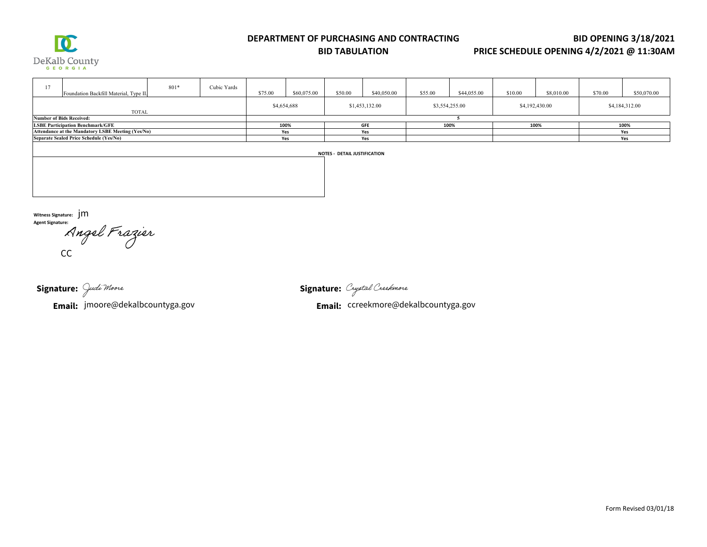

#### **DEPARTMENT OF PURCHASING AND CONTRACTING**

**BID TABULATION**

**BID OPENING 3/18/2021** 

### **PRICE SCHEDULE OPENING 4/2/2021 @ 11:30AM**

| 17<br>Foundation Backfill Material, Type II.      | 801*        | Cubic Yards | \$75.00        | \$60,075.00 | \$50.00        | \$40,050.00 | \$55.00        | \$44,055.00 | \$10.00        | \$8,010.00 | \$70.00 | \$50,070.00 |
|---------------------------------------------------|-------------|-------------|----------------|-------------|----------------|-------------|----------------|-------------|----------------|------------|---------|-------------|
| TOTAL                                             | \$4,654,688 |             | \$1,453,132.00 |             | \$3,554,255.00 |             | \$4,192,430.00 |             | \$4,184,312.00 |            |         |             |
| <b>Number of Bids Received:</b>                   |             |             |                |             |                |             |                |             |                |            |         |             |
| <b>LSBE Participation Benchmark/GFE</b>           | 100%        |             | <b>GFE</b>     |             | 100%           |             | 100%           |             | 100%           |            |         |             |
| Attendance at the Mandatory LSBE Meeting (Yes/No) | Yes         |             | Yes            |             |                |             |                |             | Yes            |            |         |             |
| Separate Sealed Price Schedule (Yes/No)           | Yes         |             | Yes            |             |                |             |                |             | Yes            |            |         |             |
| <b>NOTES - DETAIL JUSTIFICATION</b>               |             |             |                |             |                |             |                |             |                |            |         |             |

**Witness Signature:**  jmAngel Frazier

Signature: Judi Moore

**Email:** jmoore@dekalbcountyga.gov

**Signature:**

**Email:** ccreekmore@dekalbcountyga.gov jmoore@dekalbcountyga.gov CC ccreekmore@dekalbcountyga.gov